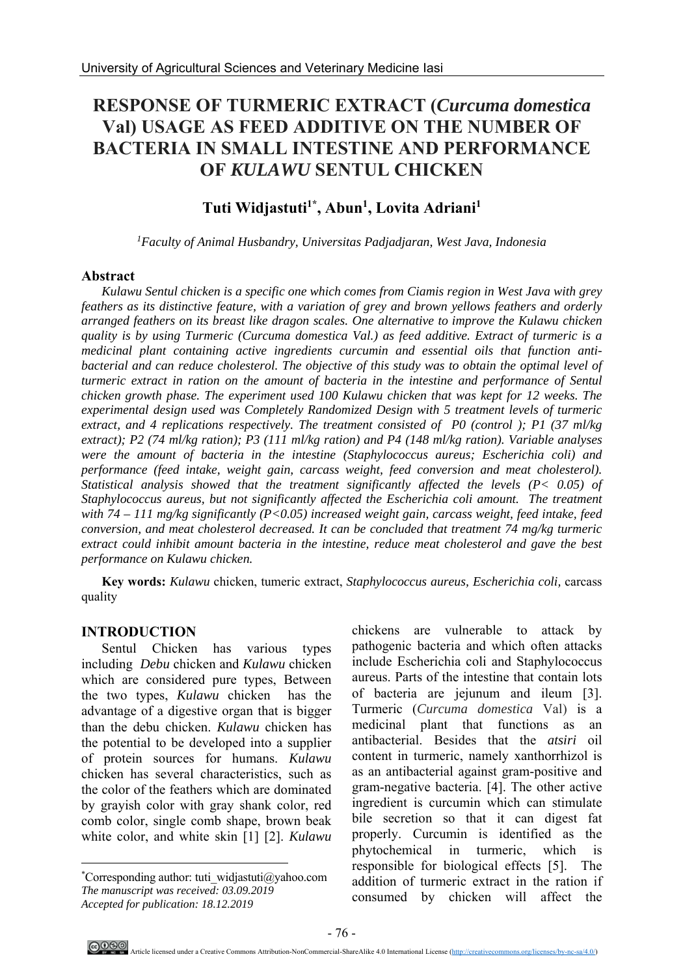# **RESPONSE OF TURMERIC EXTRACT (***Curcuma domestica*  **Val) USAGE AS FEED ADDITIVE ON THE NUMBER OF BACTERIA IN SMALL INTESTINE AND PERFORMANCE OF** *KULAWU* **SENTUL CHICKEN**

## **Tuti Widjastuti1\*, Abun1 , Lovita Adriani1**

*1Faculty of Animal Husbandry, Universitas Padjadjaran, West Java, Indonesia* 

#### **Abstract**

*Kulawu Sentul chicken is a specific one which comes from Ciamis region in West Java with grey feathers as its distinctive feature, with a variation of grey and brown yellows feathers and orderly arranged feathers on its breast like dragon scales. One alternative to improve the Kulawu chicken quality is by using Turmeric (Curcuma domestica Val.) as feed additive. Extract of turmeric is a medicinal plant containing active ingredients curcumin and essential oils that function anti*bacterial and can reduce cholesterol. The objective of this study was to obtain the optimal level of *turmeric extract in ration on the amount of bacteria in the intestine and performance of Sentul chicken growth phase. The experiment used 100 Kulawu chicken that was kept for 12 weeks. The experimental design used was Completely Randomized Design with 5 treatment levels of turmeric extract, and 4 replications respectively. The treatment consisted of P0 (control ); P1 (37 ml/kg extract); P2 (74 ml/kg ration); P3 (111 ml/kg ration) and P4 (148 ml/kg ration). Variable analyses were the amount of bacteria in the intestine (Staphylococcus aureus; Escherichia coli) and performance (feed intake, weight gain, carcass weight, feed conversion and meat cholesterol). Statistical analysis showed that the treatment significantly affected the levels (P< 0.05) of Staphylococcus aureus, but not significantly affected the Escherichia coli amount. The treatment with 74 – 111 mg/kg significantly (P<0.05) increased weight gain, carcass weight, feed intake, feed conversion, and meat cholesterol decreased. It can be concluded that treatment 74 mg/kg turmeric extract could inhibit amount bacteria in the intestine, reduce meat cholesterol and gave the best performance on Kulawu chicken.* 

**Key words:** *Kulawu* chicken, tumeric extract, *Staphylococcus aureus, Escherichia coli,* carcass quality

## **INTRODUCTION <sup>1</sup>**

l

Sentul Chicken has various types including *Debu* chicken and *Kulawu* chicken which are considered pure types, Between the two types, *Kulawu* chicken has the advantage of a digestive organ that is bigger than the debu chicken. *Kulawu* chicken has the potential to be developed into a supplier of protein sources for humans. *Kulawu* chicken has several characteristics, such as the color of the feathers which are dominated by grayish color with gray shank color, red comb color, single comb shape, brown beak white color, and white skin [1] [2]. *Kulawu*

chickens are vulnerable to attack by pathogenic bacteria and which often attacks include Escherichia coli and Staphylococcus aureus. Parts of the intestine that contain lots of bacteria are jejunum and ileum [3]. Turmeric (*Curcuma domestica* Val) is a medicinal plant that functions as an antibacterial. Besides that the *atsiri* oil content in turmeric, namely xanthorrhizol is as an antibacterial against gram-positive and gram-negative bacteria. [4]. The other active ingredient is curcumin which can stimulate bile secretion so that it can digest fat properly. Curcumin is identified as the phytochemical in turmeric, which is responsible for biological effects [5]. The addition of turmeric extract in the ration if consumed by chicken will affect the

<sup>\*</sup> Corresponding author: tuti\_widjastuti@yahoo.com *The manuscript was received: 03.09.2019 Accepted for publication: 18.12.2019*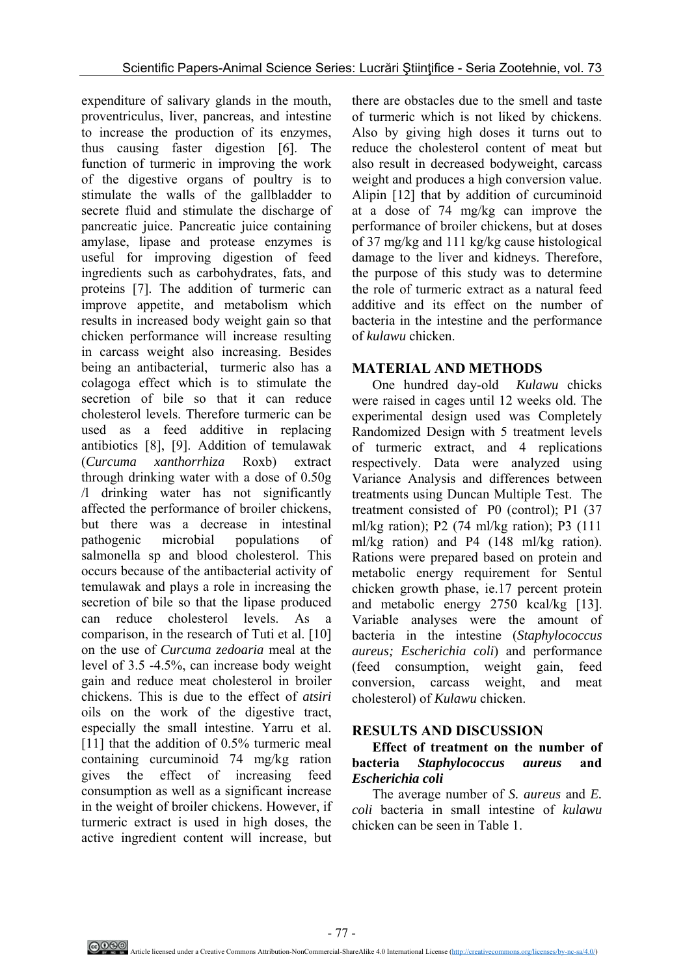expenditure of salivary glands in the mouth, proventriculus, liver, pancreas, and intestine to increase the production of its enzymes, thus causing faster digestion [6]. The function of turmeric in improving the work of the digestive organs of poultry is to stimulate the walls of the gallbladder to secrete fluid and stimulate the discharge of pancreatic juice. Pancreatic juice containing amylase, lipase and protease enzymes is useful for improving digestion of feed ingredients such as carbohydrates, fats, and proteins [7]. The addition of turmeric can improve appetite, and metabolism which results in increased body weight gain so that chicken performance will increase resulting in carcass weight also increasing. Besides being an antibacterial, turmeric also has a colagoga effect which is to stimulate the secretion of bile so that it can reduce cholesterol levels. Therefore turmeric can be used as a feed additive in replacing antibiotics [8], [9]. Addition of temulawak (*Curcuma xanthorrhiza* Roxb) extract through drinking water with a dose of 0.50g /l drinking water has not significantly affected the performance of broiler chickens, but there was a decrease in intestinal pathogenic microbial populations of salmonella sp and blood cholesterol. This occurs because of the antibacterial activity of temulawak and plays a role in increasing the secretion of bile so that the lipase produced can reduce cholesterol levels. As a comparison, in the research of Tuti et al. [10] on the use of *Curcuma zedoaria* meal at the level of 3.5 -4.5%, can increase body weight gain and reduce meat cholesterol in broiler chickens. This is due to the effect of *atsiri* oils on the work of the digestive tract, especially the small intestine. Yarru et al. [11] that the addition of 0.5% turmeric meal containing curcuminoid 74 mg/kg ration gives the effect of increasing feed consumption as well as a significant increase in the weight of broiler chickens. However, if turmeric extract is used in high doses, the active ingredient content will increase, but

there are obstacles due to the smell and taste of turmeric which is not liked by chickens. Also by giving high doses it turns out to reduce the cholesterol content of meat but also result in decreased bodyweight, carcass weight and produces a high conversion value. Alipin [12] that by addition of curcuminoid at a dose of 74 mg/kg can improve the performance of broiler chickens, but at doses of 37 mg/kg and 111 kg/kg cause histological damage to the liver and kidneys. Therefore, the purpose of this study was to determine the role of turmeric extract as a natural feed additive and its effect on the number of bacteria in the intestine and the performance of *kulawu* chicken.

## **MATERIAL AND METHODS**

One hundred day-old *Kulawu* chicks were raised in cages until 12 weeks old. The experimental design used was Completely Randomized Design with 5 treatment levels of turmeric extract, and 4 replications respectively. Data were analyzed using Variance Analysis and differences between treatments using Duncan Multiple Test. The treatment consisted of P0 (control); P1 (37 ml/kg ration); P2 (74 ml/kg ration); P3 (111 ml/kg ration) and P4 (148 ml/kg ration). Rations were prepared based on protein and metabolic energy requirement for Sentul chicken growth phase, ie.17 percent protein and metabolic energy 2750 kcal/kg [13]. Variable analyses were the amount of bacteria in the intestine (*Staphylococcus aureus; Escherichia coli*) and performance (feed consumption, weight gain, feed conversion, carcass weight, and meat cholesterol) of *Kulawu* chicken.

## **RESULTS AND DISCUSSION**

## **Effect of treatment on the number of bacteria** *Staphylococcus aureus* **and**  *Escherichia coli*

The average number of *S. aureus* and *E. coli* bacteria in small intestine of *kulawu* chicken can be seen in Table 1.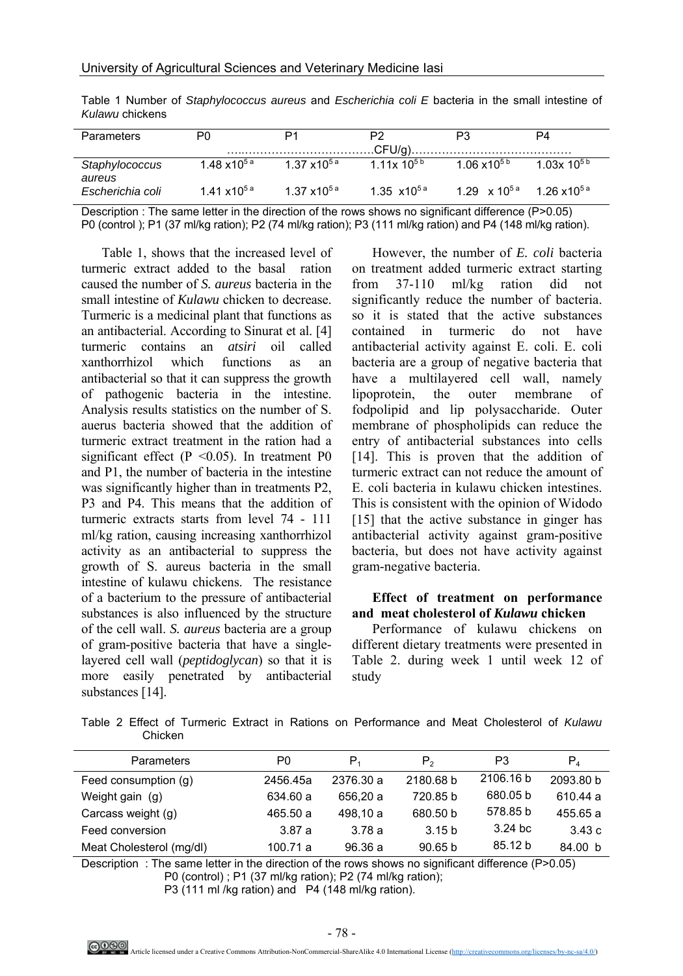| Parameters               | P0                      | P1                      | P2                              | P3                                          | P4                       |
|--------------------------|-------------------------|-------------------------|---------------------------------|---------------------------------------------|--------------------------|
| Staphylococcus<br>aureus | $1.48 \times 10^{5a}$   | 1.37 $x10^{5a}$         | 1 11x 10 <sup>5b</sup>          | 1.06 $x10^{5b}$                             | 1 0.3x 10 <sup>5 b</sup> |
| Escherichia coli         | 1.41 x10 <sup>5 a</sup> | 1.37 x10 <sup>5 a</sup> | 1.35 $\times$ 10 <sup>5 a</sup> | $1.29 \times 10^{5a}$ 1.26 $\times 10^{5a}$ |                          |

Table 1 Number of *Staphylococcus aureus* and *Escherichia coli E* bacteria in the small intestine of *Kulawu* chickens

Description : The same letter in the direction of the rows shows no significant difference (P>0.05) P0 (control ); P1 (37 ml/kg ration); P2 (74 ml/kg ration); P3 (111 ml/kg ration) and P4 (148 ml/kg ration).

Table 1, shows that the increased level of turmeric extract added to the basal ration caused the number of *S. aureus* bacteria in the small intestine of *Kulawu* chicken to decrease. Turmeric is a medicinal plant that functions as an antibacterial. According to Sinurat et al. [4] turmeric contains an *atsiri* oil called xanthorrhizol which functions as an antibacterial so that it can suppress the growth of pathogenic bacteria in the intestine. Analysis results statistics on the number of S. auerus bacteria showed that the addition of turmeric extract treatment in the ration had a significant effect  $(P \le 0.05)$ . In treatment P0 and P1, the number of bacteria in the intestine was significantly higher than in treatments P2, P3 and P4. This means that the addition of turmeric extracts starts from level 74 - 111 ml/kg ration, causing increasing xanthorrhizol activity as an antibacterial to suppress the growth of S. aureus bacteria in the small intestine of kulawu chickens. The resistance of a bacterium to the pressure of antibacterial substances is also influenced by the structure of the cell wall. *S. aureus* bacteria are a group of gram-positive bacteria that have a singlelayered cell wall (*peptidoglycan*) so that it is more easily penetrated by antibacterial substances [14].

However, the number of *E. coli* bacteria on treatment added turmeric extract starting from 37-110 ml/kg ration did not significantly reduce the number of bacteria. so it is stated that the active substances contained in turmeric do not have antibacterial activity against E. coli. E. coli bacteria are a group of negative bacteria that have a multilayered cell wall, namely lipoprotein, the outer membrane of fodpolipid and lip polysaccharide. Outer membrane of phospholipids can reduce the entry of antibacterial substances into cells [14]. This is proven that the addition of turmeric extract can not reduce the amount of E. coli bacteria in kulawu chicken intestines. This is consistent with the opinion of Widodo [15] that the active substance in ginger has antibacterial activity against gram-positive bacteria, but does not have activity against gram-negative bacteria.

#### **Effect of treatment on performance and meat cholesterol of** *Kulawu* **chicken**

Performance of kulawu chickens on different dietary treatments were presented in Table 2. during week 1 until week 12 of study

Table 2 Effect of Turmeric Extract in Rations on Performance and Meat Cholesterol of *Kulawu*  Chicken

| Parameters               | P0       | P <sub>1</sub> | $P_{2}$           | P3        | $P_4$     |
|--------------------------|----------|----------------|-------------------|-----------|-----------|
| Feed consumption (q)     | 2456.45a | 2376.30 a      | 2180.68 b         | 2106.16 b | 2093.80 b |
| Weight gain (g)          | 634.60 a | 656.20 a       | 720.85 b          | 680.05 b  | 610.44 a  |
| Carcass weight (g)       | 465.50 a | 498.10 a       | 680.50 b          | 578.85 b  | 455.65 a  |
| Feed conversion          | 3.87a    | 3.78 a         | 3.15 <sub>b</sub> | $3.24$ bc | 3.43c     |
| Meat Cholesterol (mg/dl) | 100.71 a | 96.36a         | 90.65 b           | 85 12 b   | 84.00 b   |

Description : The same letter in the direction of the rows shows no significant difference (P>0.05) P0 (control) ; P1 (37 ml/kg ration); P2 (74 ml/kg ration);

P3 (111 ml /kg ration) and P4 (148 ml/kg ration).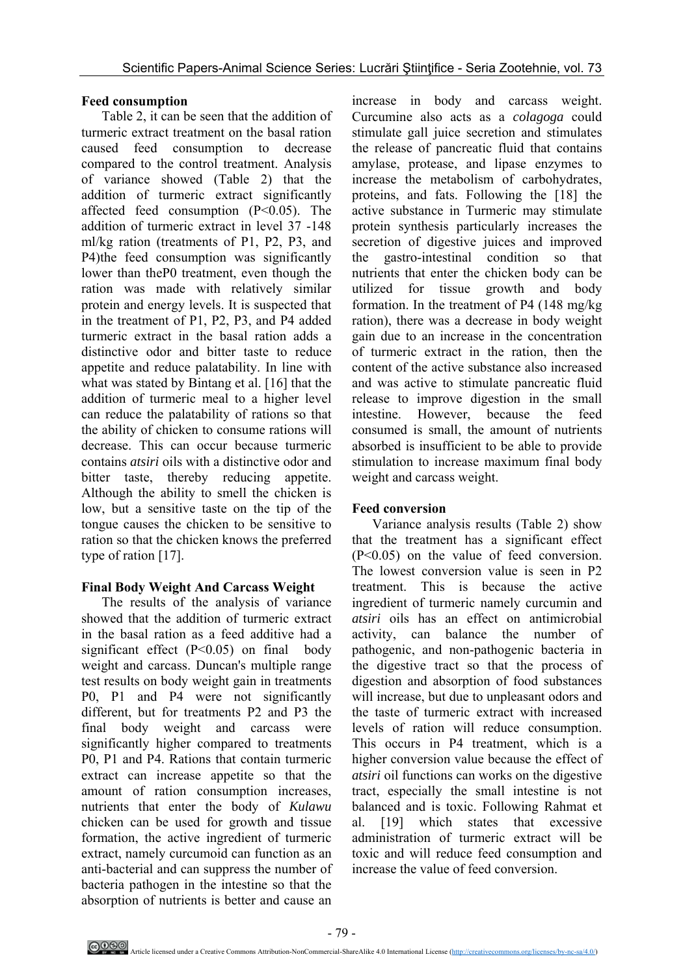## **Feed consumption**

Table 2, it can be seen that the addition of turmeric extract treatment on the basal ration caused feed consumption to decrease compared to the control treatment. Analysis of variance showed (Table 2) that the addition of turmeric extract significantly affected feed consumption (P<0.05). The addition of turmeric extract in level 37 -148 ml/kg ration (treatments of P1, P2, P3, and P4)the feed consumption was significantly lower than theP0 treatment, even though the ration was made with relatively similar protein and energy levels. It is suspected that in the treatment of P1, P2, P3, and P4 added turmeric extract in the basal ration adds a distinctive odor and bitter taste to reduce appetite and reduce palatability. In line with what was stated by Bintang et al. [16] that the addition of turmeric meal to a higher level can reduce the palatability of rations so that the ability of chicken to consume rations will decrease. This can occur because turmeric contains *atsiri* oils with a distinctive odor and bitter taste, thereby reducing appetite. Although the ability to smell the chicken is low, but a sensitive taste on the tip of the tongue causes the chicken to be sensitive to ration so that the chicken knows the preferred type of ration [17].

## **Final Body Weight And Carcass Weight**

The results of the analysis of variance showed that the addition of turmeric extract in the basal ration as a feed additive had a significant effect (P<0.05) on final body weight and carcass. Duncan's multiple range test results on body weight gain in treatments P0, P1 and P4 were not significantly different, but for treatments P2 and P3 the final body weight and carcass were significantly higher compared to treatments P0, P1 and P4. Rations that contain turmeric extract can increase appetite so that the amount of ration consumption increases, nutrients that enter the body of *Kulawu* chicken can be used for growth and tissue formation, the active ingredient of turmeric extract, namely curcumoid can function as an anti-bacterial and can suppress the number of bacteria pathogen in the intestine so that the absorption of nutrients is better and cause an

increase in body and carcass weight. Curcumine also acts as a *colagoga* could stimulate gall juice secretion and stimulates the release of pancreatic fluid that contains amylase, protease, and lipase enzymes to increase the metabolism of carbohydrates, proteins, and fats. Following the [18] the active substance in Turmeric may stimulate protein synthesis particularly increases the secretion of digestive juices and improved the gastro-intestinal condition so that nutrients that enter the chicken body can be utilized for tissue growth and body formation. In the treatment of P4 (148 mg/kg ration), there was a decrease in body weight gain due to an increase in the concentration of turmeric extract in the ration, then the content of the active substance also increased and was active to stimulate pancreatic fluid release to improve digestion in the small intestine. However, because the feed consumed is small, the amount of nutrients absorbed is insufficient to be able to provide stimulation to increase maximum final body weight and carcass weight.

## **Feed conversion**

Variance analysis results (Table 2) show that the treatment has a significant effect (P<0.05) on the value of feed conversion. The lowest conversion value is seen in P2 treatment. This is because the active ingredient of turmeric namely curcumin and *atsiri* oils has an effect on antimicrobial activity, can balance the number of pathogenic, and non-pathogenic bacteria in the digestive tract so that the process of digestion and absorption of food substances will increase, but due to unpleasant odors and the taste of turmeric extract with increased levels of ration will reduce consumption. This occurs in P4 treatment, which is a higher conversion value because the effect of *atsiri* oil functions can works on the digestive tract, especially the small intestine is not balanced and is toxic. Following Rahmat et al. [19] which states that excessive administration of turmeric extract will be toxic and will reduce feed consumption and increase the value of feed conversion.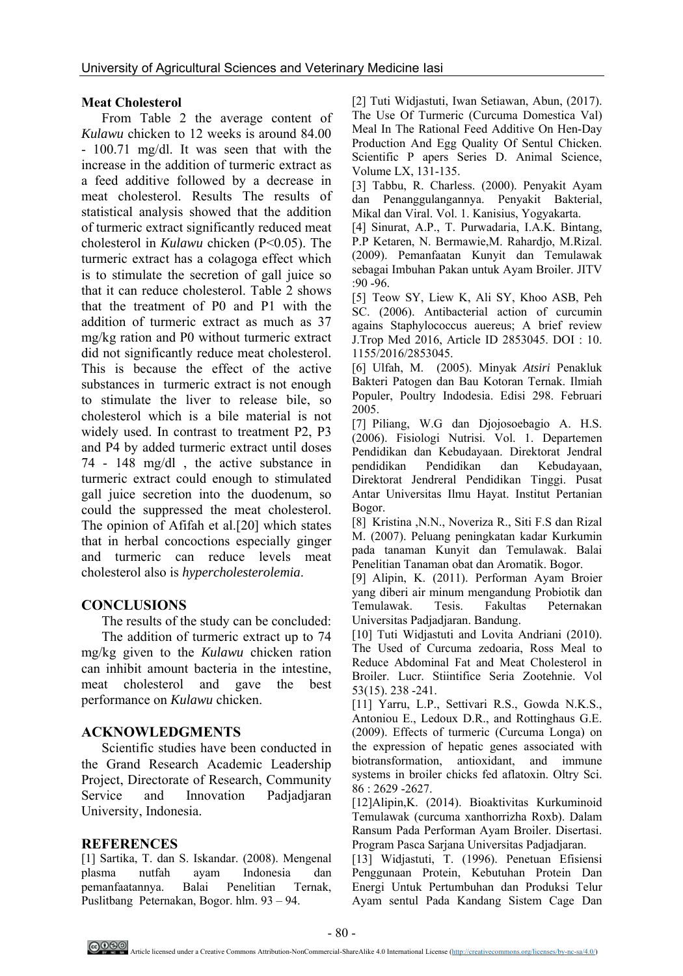### **Meat Cholesterol**

From Table 2 the average content of *Kulawu* chicken to 12 weeks is around 84.00 - 100.71 mg/dl. It was seen that with the increase in the addition of turmeric extract as a feed additive followed by a decrease in meat cholesterol. Results The results of statistical analysis showed that the addition of turmeric extract significantly reduced meat cholesterol in *Kulawu* chicken (P<0.05). The turmeric extract has a colagoga effect which is to stimulate the secretion of gall juice so that it can reduce cholesterol. Table 2 shows that the treatment of P0 and P1 with the addition of turmeric extract as much as 37 mg/kg ration and P0 without turmeric extract did not significantly reduce meat cholesterol. This is because the effect of the active substances in turmeric extract is not enough to stimulate the liver to release bile, so cholesterol which is a bile material is not widely used. In contrast to treatment P2, P3 and P4 by added turmeric extract until doses 74 - 148 mg/dl , the active substance in turmeric extract could enough to stimulated gall juice secretion into the duodenum, so could the suppressed the meat cholesterol. The opinion of Afifah et al.[20] which states that in herbal concoctions especially ginger and turmeric can reduce levels meat cholesterol also is *hypercholesterolemia*.

### **CONCLUSIONS**

The results of the study can be concluded:

The addition of turmeric extract up to 74 mg/kg given to the *Kulawu* chicken ration can inhibit amount bacteria in the intestine, meat cholesterol and gave the best performance on *Kulawu* chicken.

### **ACKNOWLEDGMENTS**

Scientific studies have been conducted in the Grand Research Academic Leadership Project, Directorate of Research, Community Service and Innovation Padjadjaran University, Indonesia.

### **REFERENCES**

[1] Sartika, T. dan S. Iskandar. (2008). Mengenal plasma nutfah ayam Indonesia dan pemanfaatannya. Balai Penelitian Ternak, Puslitbang Peternakan, Bogor. hlm. 93 – 94.

[2] Tuti Widjastuti, Iwan Setiawan, Abun, (2017). The Use Of Turmeric (Curcuma Domestica Val) Meal In The Rational Feed Additive On Hen-Day Production And Egg Quality Of Sentul Chicken. Scientific P apers Series D. Animal Science, Volume LX, 131-135.

[3] Tabbu, R. Charless. (2000). Penyakit Ayam dan Penanggulangannya. Penyakit Bakterial, Mikal dan Viral. Vol. 1. Kanisius, Yogyakarta.

[4] Sinurat, A.P., T. Purwadaria, I.A.K. Bintang, P.P Ketaren, N. Bermawie,M. Rahardjo, M.Rizal. (2009). Pemanfaatan Kunyit dan Temulawak sebagai Imbuhan Pakan untuk Ayam Broiler. JITV :90 -96.

[5] Teow SY, Liew K, Ali SY, Khoo ASB, Peh SC. (2006). Antibacterial action of curcumin agains Staphylococcus auereus; A brief review J.Trop Med 2016, Article ID 2853045. DOI : 10. 1155/2016/2853045.

[6] Ulfah, M. (2005). Minyak *Atsiri* Penakluk Bakteri Patogen dan Bau Kotoran Ternak. Ilmiah Populer, Poultry Indodesia. Edisi 298. Februari 2005.

[7] Piliang, W.G dan Djojosoebagio A. H.S. (2006). Fisiologi Nutrisi. Vol. 1. Departemen Pendidikan dan Kebudayaan. Direktorat Jendral pendidikan Pendidikan dan Kebudayaan, Direktorat Jendreral Pendidikan Tinggi. Pusat Antar Universitas Ilmu Hayat. Institut Pertanian Bogor.

[8] Kristina ,N.N., Noveriza R., Siti F.S dan Rizal M. (2007). Peluang peningkatan kadar Kurkumin pada tanaman Kunyit dan Temulawak. Balai Penelitian Tanaman obat dan Aromatik. Bogor.

[9] Alipin, K. (2011). Performan Ayam Broier yang diberi air minum mengandung Probiotik dan Temulawak. Tesis. Fakultas Peternakan Universitas Padjadjaran. Bandung.

[10] Tuti Widjastuti and Lovita Andriani (2010). The Used of Curcuma zedoaria, Ross Meal to Reduce Abdominal Fat and Meat Cholesterol in Broiler. Lucr. Stiintifice Seria Zootehnie. Vol 53(15). 238 -241.

[11] Yarru, L.P., Settivari R.S., Gowda N.K.S., Antoniou E., Ledoux D.R., and Rottinghaus G.E. (2009). Effects of turmeric (Curcuma Longa) on the expression of hepatic genes associated with biotransformation, antioxidant, and immune systems in broiler chicks fed aflatoxin. Oltry Sci. 86 : 2629 -2627.

[12]Alipin,K. (2014). Bioaktivitas Kurkuminoid Temulawak (curcuma xanthorrizha Roxb). Dalam Ransum Pada Performan Ayam Broiler. Disertasi. Program Pasca Sarjana Universitas Padjadjaran.

[13] Widjastuti, T. (1996). Penetuan Efisiensi Penggunaan Protein, Kebutuhan Protein Dan Energi Untuk Pertumbuhan dan Produksi Telur Ayam sentul Pada Kandang Sistem Cage Dan